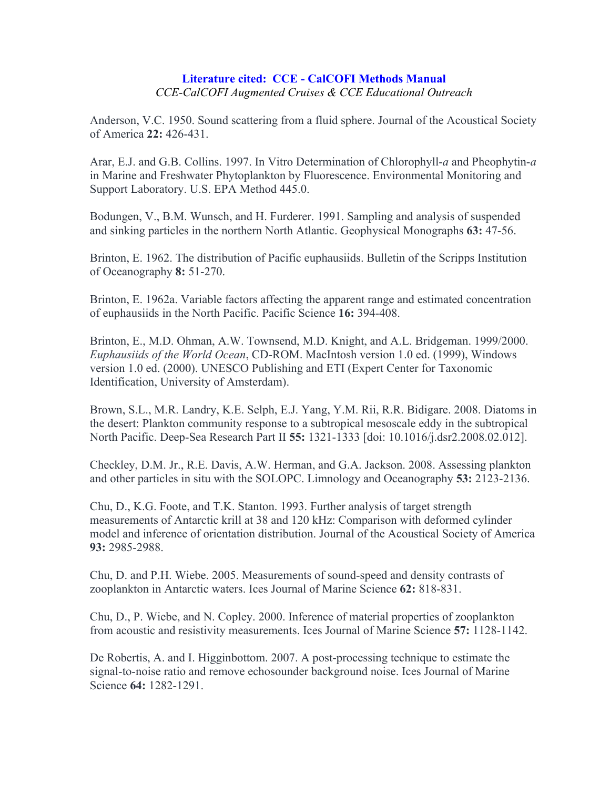## **Literature cited: CCE - CalCOFI Methods Manual** *CCE-CalCOFI Augmented Cruises & CCE Educational Outreach*

Anderson, V.C. 1950. Sound scattering from a fluid sphere. Journal of the Acoustical Society of America **22:** 426-431.

Arar, E.J. and G.B. Collins. 1997. In Vitro Determination of Chlorophyll-*a* and Pheophytin-*a* in Marine and Freshwater Phytoplankton by Fluorescence. Environmental Monitoring and Support Laboratory. U.S. EPA Method 445.0.

Bodungen, V., B.M. Wunsch, and H. Furderer. 1991. Sampling and analysis of suspended and sinking particles in the northern North Atlantic. Geophysical Monographs **63:** 47-56.

Brinton, E. 1962. The distribution of Pacific euphausiids. Bulletin of the Scripps Institution of Oceanography **8:** 51-270.

Brinton, E. 1962a. Variable factors affecting the apparent range and estimated concentration of euphausiids in the North Pacific. Pacific Science **16:** 394-408.

Brinton, E., M.D. Ohman, A.W. Townsend, M.D. Knight, and A.L. Bridgeman. 1999/2000. *Euphausiids of the World Ocean*, CD-ROM. MacIntosh version 1.0 ed. (1999), Windows version 1.0 ed. (2000). UNESCO Publishing and ETI (Expert Center for Taxonomic Identification, University of Amsterdam).

Brown, S.L., M.R. Landry, K.E. Selph, E.J. Yang, Y.M. Rii, R.R. Bidigare. 2008. Diatoms in the desert: Plankton community response to a subtropical mesoscale eddy in the subtropical North Pacific. Deep-Sea Research Part II **55:** 1321-1333 [doi: 10.1016/j.dsr2.2008.02.012].

Checkley, D.M. Jr., R.E. Davis, A.W. Herman, and G.A. Jackson. 2008. Assessing plankton and other particles in situ with the SOLOPC. Limnology and Oceanography **53:** 2123-2136.

Chu, D., K.G. Foote, and T.K. Stanton. 1993. Further analysis of target strength measurements of Antarctic krill at 38 and 120 kHz: Comparison with deformed cylinder model and inference of orientation distribution. Journal of the Acoustical Society of America **93:** 2985-2988.

Chu, D. and P.H. Wiebe. 2005. Measurements of sound-speed and density contrasts of zooplankton in Antarctic waters. Ices Journal of Marine Science **62:** 818-831.

Chu, D., P. Wiebe, and N. Copley. 2000. Inference of material properties of zooplankton from acoustic and resistivity measurements. Ices Journal of Marine Science **57:** 1128-1142.

De Robertis, A. and I. Higginbottom. 2007. A post-processing technique to estimate the signal-to-noise ratio and remove echosounder background noise. Ices Journal of Marine Science **64:** 1282-1291.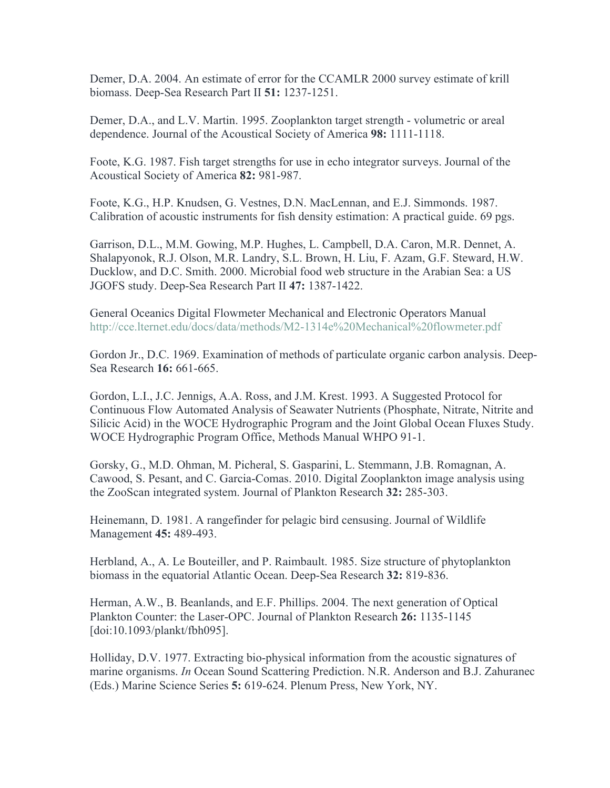Demer, D.A. 2004. An estimate of error for the CCAMLR 2000 survey estimate of krill biomass. Deep-Sea Research Part II **51:** 1237-1251.

Demer, D.A., and L.V. Martin. 1995. Zooplankton target strength - volumetric or areal dependence. Journal of the Acoustical Society of America **98:** 1111-1118.

Foote, K.G. 1987. Fish target strengths for use in echo integrator surveys. Journal of the Acoustical Society of America **82:** 981-987.

Foote, K.G., H.P. Knudsen, G. Vestnes, D.N. MacLennan, and E.J. Simmonds. 1987. Calibration of acoustic instruments for fish density estimation: A practical guide. 69 pgs.

Garrison, D.L., M.M. Gowing, M.P. Hughes, L. Campbell, D.A. Caron, M.R. Dennet, A. Shalapyonok, R.J. Olson, M.R. Landry, S.L. Brown, H. Liu, F. Azam, G.F. Steward, H.W. Ducklow, and D.C. Smith. 2000. Microbial food web structure in the Arabian Sea: a US JGOFS study. Deep-Sea Research Part II **47:** 1387-1422.

General Oceanics Digital Flowmeter Mechanical and Electronic Operators Manual http://cce.lternet.edu/docs/data/methods/M2-1314e%20Mechanical%20flowmeter.pdf

Gordon Jr., D.C. 1969. Examination of methods of particulate organic carbon analysis. Deep-Sea Research **16:** 661-665.

Gordon, L.I., J.C. Jennigs, A.A. Ross, and J.M. Krest. 1993. A Suggested Protocol for Continuous Flow Automated Analysis of Seawater Nutrients (Phosphate, Nitrate, Nitrite and Silicic Acid) in the WOCE Hydrographic Program and the Joint Global Ocean Fluxes Study. WOCE Hydrographic Program Office, Methods Manual WHPO 91-1.

Gorsky, G., M.D. Ohman, M. Picheral, S. Gasparini, L. Stemmann, J.B. Romagnan, A. Cawood, S. Pesant, and C. Garcia-Comas. 2010. Digital Zooplankton image analysis using the ZooScan integrated system. Journal of Plankton Research **32:** 285-303.

Heinemann, D. 1981. A rangefinder for pelagic bird censusing. Journal of Wildlife Management **45:** 489-493.

Herbland, A., A. Le Bouteiller, and P. Raimbault. 1985. Size structure of phytoplankton biomass in the equatorial Atlantic Ocean. Deep-Sea Research **32:** 819-836.

Herman, A.W., B. Beanlands, and E.F. Phillips. 2004. The next generation of Optical Plankton Counter: the Laser-OPC. Journal of Plankton Research **26:** 1135-1145 [doi:10.1093/plankt/fbh095].

Holliday, D.V. 1977. Extracting bio-physical information from the acoustic signatures of marine organisms. *In* Ocean Sound Scattering Prediction. N.R. Anderson and B.J. Zahuranec (Eds.) Marine Science Series **5:** 619-624. Plenum Press, New York, NY.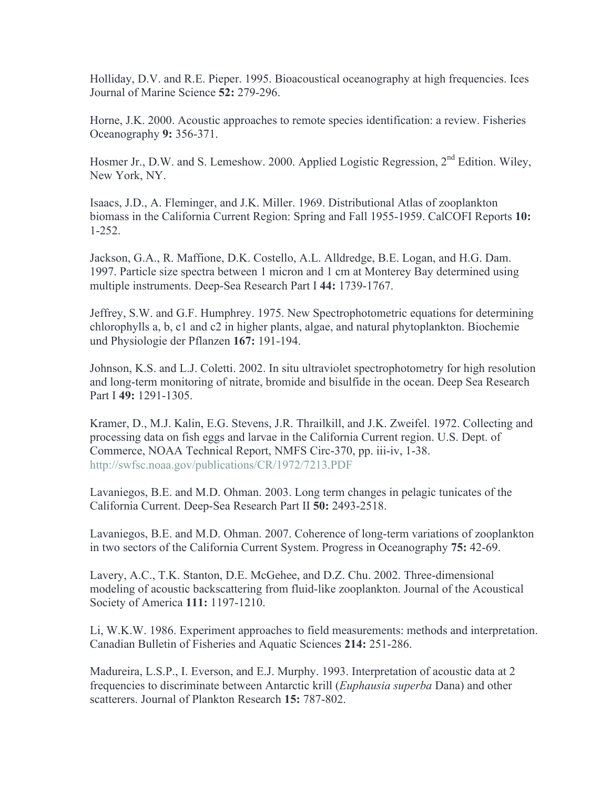Holliday, D.V. and R.E. Pieper. 1995. Bioacoustical oceanography at high frequencies. Ices Journal of Marine Science **52:** 279-296.

Horne, J.K. 2000. Acoustic approaches to remote species identification: a review. Fisheries Oceanography **9:** 356-371.

Hosmer Jr., D.W. and S. Lemeshow. 2000. Applied Logistic Regression,  $2^{nd}$  Edition. Wiley, New York, NY.

Isaacs, J.D., A. Fleminger, and J.K. Miller. 1969. Distributional Atlas of zooplankton biomass in the California Current Region: Spring and Fall 1955-1959. CalCOFI Reports **10:** 1-252.

Jackson, G.A., R. Maffione, D.K. Costello, A.L. Alldredge, B.E. Logan, and H.G. Dam. 1997. Particle size spectra between 1 micron and 1 cm at Monterey Bay determined using multiple instruments. Deep-Sea Research Part I **44:** 1739-1767.

Jeffrey, S.W. and G.F. Humphrey. 1975. New Spectrophotometric equations for determining chlorophylls a, b, c1 and c2 in higher plants, algae, and natural phytoplankton. Biochemie und Physiologie der Pflanzen **167:** 191-194.

Johnson, K.S. and L.J. Coletti. 2002. In situ ultraviolet spectrophotometry for high resolution and long-term monitoring of nitrate, bromide and bisulfide in the ocean. Deep Sea Research Part I **49:** 1291-1305.

Kramer, D., M.J. Kalin, E.G. Stevens, J.R. Thrailkill, and J.K. Zweifel. 1972. Collecting and processing data on fish eggs and larvae in the California Current region. U.S. Dept. of Commerce, NOAA Technical Report, NMFS Circ-370, pp. iii-iv, 1-38. http://swfsc.noaa.gov/publications/CR/1972/7213.PDF

Lavaniegos, B.E. and M.D. Ohman. 2003. Long term changes in pelagic tunicates of the California Current. Deep-Sea Research Part II **50:** 2493-2518.

Lavaniegos, B.E. and M.D. Ohman. 2007. Coherence of long-term variations of zooplankton in two sectors of the California Current System. Progress in Oceanography **75:** 42-69.

Lavery, A.C., T.K. Stanton, D.E. McGehee, and D.Z. Chu. 2002. Three-dimensional modeling of acoustic backscattering from fluid-like zooplankton. Journal of the Acoustical Society of America **111:** 1197-1210.

Li, W.K.W. 1986. Experiment approaches to field measurements: methods and interpretation. Canadian Bulletin of Fisheries and Aquatic Sciences **214:** 251-286.

Madureira, L.S.P., I. Everson, and E.J. Murphy. 1993. Interpretation of acoustic data at 2 frequencies to discriminate between Antarctic krill (*Euphausia superba* Dana) and other scatterers. Journal of Plankton Research **15:** 787-802.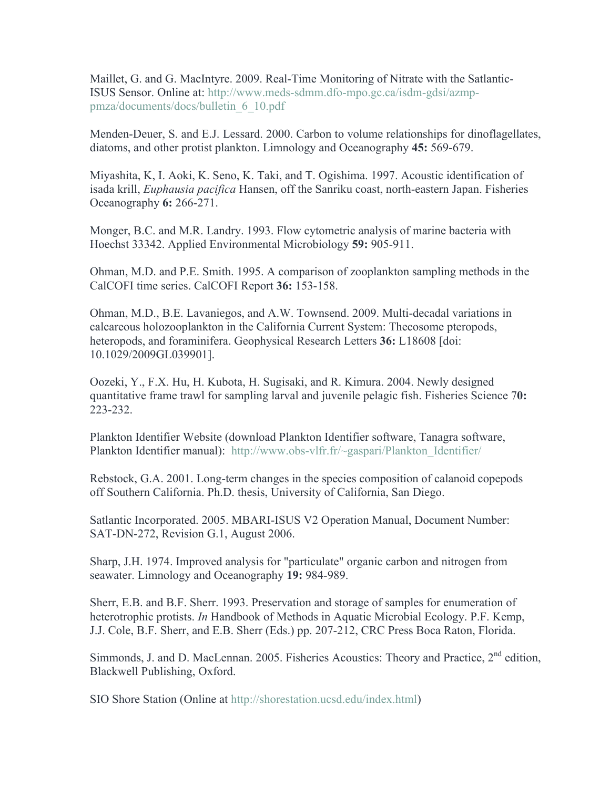Maillet, G. and G. MacIntyre. 2009. Real-Time Monitoring of Nitrate with the Satlantic-ISUS Sensor. Online at: http://www.meds-sdmm.dfo-mpo.gc.ca/isdm-gdsi/azmppmza/documents/docs/bulletin\_6\_10.pdf

Menden-Deuer, S. and E.J. Lessard. 2000. Carbon to volume relationships for dinoflagellates, diatoms, and other protist plankton. Limnology and Oceanography **45:** 569-679.

Miyashita, K, I. Aoki, K. Seno, K. Taki, and T. Ogishima. 1997. Acoustic identification of isada krill, *Euphausia pacifica* Hansen, off the Sanriku coast, north-eastern Japan. Fisheries Oceanography **6:** 266-271.

Monger, B.C. and M.R. Landry. 1993. Flow cytometric analysis of marine bacteria with Hoechst 33342. Applied Environmental Microbiology **59:** 905-911.

Ohman, M.D. and P.E. Smith. 1995. A comparison of zooplankton sampling methods in the CalCOFI time series. CalCOFI Report **36:** 153-158.

Ohman, M.D., B.E. Lavaniegos, and A.W. Townsend. 2009. Multi-decadal variations in calcareous holozooplankton in the California Current System: Thecosome pteropods, heteropods, and foraminifera. Geophysical Research Letters **36:** L18608 [doi: 10.1029/2009GL039901].

Oozeki, Y., F.X. Hu, H. Kubota, H. Sugisaki, and R. Kimura. 2004. Newly designed quantitative frame trawl for sampling larval and juvenile pelagic fish. Fisheries Science 7**0:** 223-232.

Plankton Identifier Website (download Plankton Identifier software, Tanagra software, Plankton Identifier manual): http://www.obs-vlfr.fr/~gaspari/Plankton Identifier/

Rebstock, G.A. 2001. Long-term changes in the species composition of calanoid copepods off Southern California. Ph.D. thesis, University of California, San Diego.

Satlantic Incorporated. 2005. MBARI-ISUS V2 Operation Manual, Document Number: SAT-DN-272, Revision G.1, August 2006.

Sharp, J.H. 1974. Improved analysis for "particulate" organic carbon and nitrogen from seawater. Limnology and Oceanography **19:** 984-989.

Sherr, E.B. and B.F. Sherr. 1993. Preservation and storage of samples for enumeration of heterotrophic protists. *In* Handbook of Methods in Aquatic Microbial Ecology. P.F. Kemp, J.J. Cole, B.F. Sherr, and E.B. Sherr (Eds.) pp. 207-212, CRC Press Boca Raton, Florida.

Simmonds, J. and D. MacLennan. 2005. Fisheries Acoustics: Theory and Practice, 2<sup>nd</sup> edition, Blackwell Publishing, Oxford.

SIO Shore Station (Online at http://shorestation.ucsd.edu/index.html)